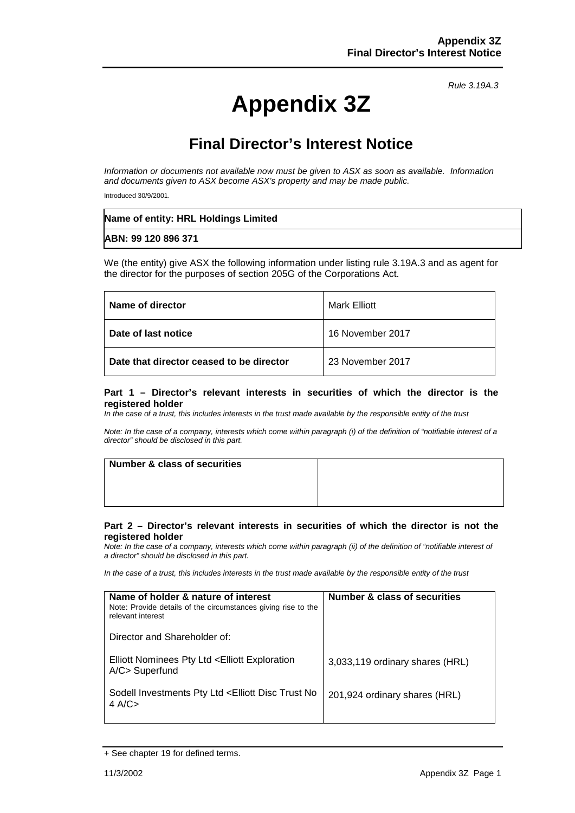# **Appendix 3Z**

*Rule 3.19A.3*

## **Final Director's Interest Notice**

*Information or documents not available now must be given to ASX as soon as available. Information and documents given to ASX become ASX's property and may be made public.*

Introduced 30/9/2001.

| Name of entity: HRL Holdings Limited |  |
|--------------------------------------|--|
| ABN: 99 120 896 371                  |  |

We (the entity) give ASX the following information under listing rule 3.19A.3 and as agent for the director for the purposes of section 205G of the Corporations Act.

| Name of director                         | Mark Elliott     |
|------------------------------------------|------------------|
| Date of last notice                      | 16 November 2017 |
| Date that director ceased to be director | 23 November 2017 |

#### **Part 1 – Director's relevant interests in securities of which the director is the registered holder**

*In the case of a trust, this includes interests in the trust made available by the responsible entity of the trust*

*Note: In the case of a company, interests which come within paragraph (i) of the definition of "notifiable interest of a director" should be disclosed in this part.*

| Number & class of securities |  |
|------------------------------|--|
|                              |  |
|                              |  |
|                              |  |

#### **Part 2 – Director's relevant interests in securities of which the director is not the registered holder**

*Note: In the case of a company, interests which come within paragraph (ii) of the definition of "notifiable interest of a director" should be disclosed in this part.*

*In the case of a trust, this includes interests in the trust made available by the responsible entity of the trust*

| Name of holder & nature of interest<br>Note: Provide details of the circumstances giving rise to the<br>relevant interest | Number & class of securities    |
|---------------------------------------------------------------------------------------------------------------------------|---------------------------------|
| Director and Shareholder of:                                                                                              |                                 |
| Elliott Nominees Pty Ltd <elliott exploration<br="">A/C&gt; Superfund</elliott>                                           | 3,033,119 ordinary shares (HRL) |
| Sodell Investments Pty Ltd <elliott disc="" no<br="" trust="">4 A/C<math>&gt;</math></elliott>                            | 201,924 ordinary shares (HRL)   |

<sup>+</sup> See chapter 19 for defined terms.